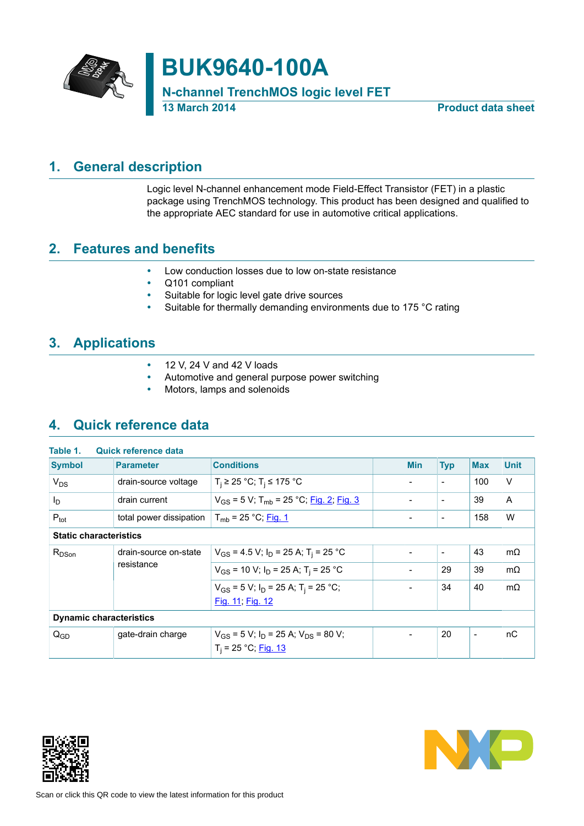

# **BUK9640-100A**

**N-channel TrenchMOS logic level FET**

**13 March 2014 Product data sheet**

## **1. General description**

<span id="page-0-0"></span>Logic level N-channel enhancement mode Field-Effect Transistor (FET) in a plastic package using TrenchMOS technology. This product has been designed and qualified to the appropriate AEC standard for use in automotive critical applications.

## **2. Features and benefits**

- <span id="page-0-1"></span>• Low conduction losses due to low on-state resistance
- Q101 compliant<br>• Suitable for logic
- Suitable for logic level gate drive sources
- Suitable for thermally demanding environments due to 175 °C rating

## **3. Applications**

- <span id="page-0-2"></span> $\cdot$  12 V, 24 V and 42 V loads
- Automotive and general purpose power switching<br>• Motors, Jamps and solenoids
- <span id="page-0-3"></span>• Motors, lamps and solenoids

## **4. Quick reference data**

| Table 1.                       | <b>Quick reference data</b> |                                                                                    |                          |                          |            |             |
|--------------------------------|-----------------------------|------------------------------------------------------------------------------------|--------------------------|--------------------------|------------|-------------|
| <b>Symbol</b>                  | <b>Parameter</b>            | <b>Conditions</b>                                                                  | <b>Min</b>               | <b>Typ</b>               | <b>Max</b> | <b>Unit</b> |
| $V_{DS}$                       | drain-source voltage        | $T_i$ ≥ 25 °C; T <sub>i</sub> ≤ 175 °C                                             | ۰                        | $\overline{\phantom{a}}$ | 100        | V           |
| l <sub>D</sub>                 | drain current               | $V_{GS}$ = 5 V; T <sub>mb</sub> = 25 °C; Fig. 2; Fig. 3                            | ÷                        | $\blacksquare$           | 39         | A           |
| $P_{\text{tot}}$               | total power dissipation     | $T_{\rm mb}$ = 25 °C; <u>Fig. 1</u>                                                |                          | $\overline{\phantom{a}}$ | 158        | W           |
| <b>Static characteristics</b>  |                             |                                                                                    |                          |                          |            |             |
| $R_{DSon}$                     | drain-source on-state       | $V_{GS}$ = 4.5 V; $I_D$ = 25 A; T <sub>i</sub> = 25 °C                             |                          | $\overline{\phantom{a}}$ | 43         | $m\Omega$   |
|                                | resistance                  | $V_{GS}$ = 10 V; $I_D$ = 25 A; T <sub>i</sub> = 25 °C                              | $\overline{\phantom{a}}$ | 29                       | 39         | $m\Omega$   |
|                                |                             | $V_{GS}$ = 5 V; I <sub>D</sub> = 25 A; T <sub>i</sub> = 25 °C;<br>Fig. 11; Fig. 12 |                          | 34                       | 40         | $m\Omega$   |
| <b>Dynamic characteristics</b> |                             |                                                                                    |                          |                          |            |             |
| $Q_{GD}$                       | gate-drain charge           | $V_{GS}$ = 5 V; $I_D$ = 25 A; $V_{DS}$ = 80 V;<br>$T_i = 25 °C;$ Fig. 13           |                          | 20                       | ۰          | пC          |



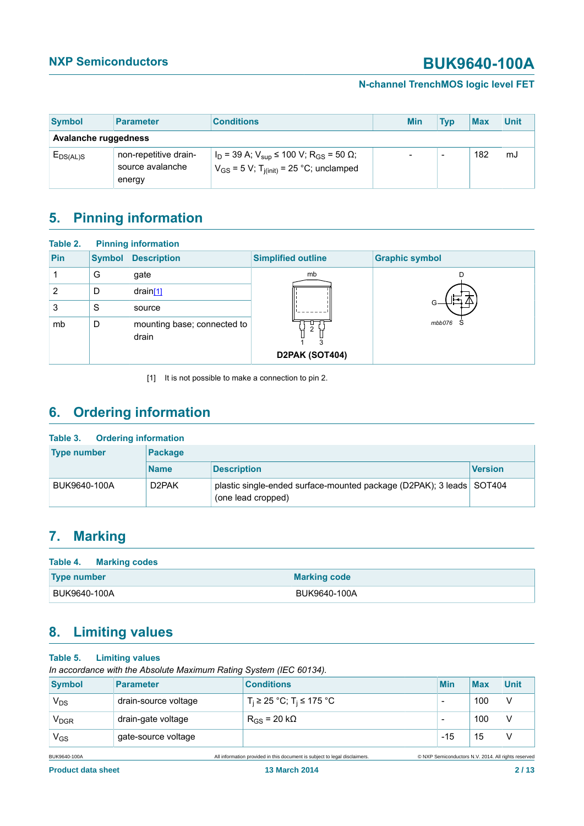### **N-channel TrenchMOS logic level FET**

<span id="page-1-0"></span>

| Symbol               | <b>Parameter</b>                                    | <b>Conditions</b>                                                                                                                           | <b>Min</b> | Tvp | <b>Max</b> | <b>Unit</b> |
|----------------------|-----------------------------------------------------|---------------------------------------------------------------------------------------------------------------------------------------------|------------|-----|------------|-------------|
| Avalanche ruggedness |                                                     |                                                                                                                                             |            |     |            |             |
| EDS(AL)S             | non-repetitive drain-<br>source avalanche<br>energy | $\vert$ I <sub>D</sub> = 39 A; V <sub>sup</sub> ≤ 100 V; R <sub>GS</sub> = 50 Ω;<br>$V_{GS}$ = 5 V; T <sub>j(init)</sub> = 25 °C; unclamped |            | -   | 182        | mJ          |

## <span id="page-1-1"></span>**5. Pinning information**

| Table 2. |               | <b>Pinning information</b>           |                                       |                       |
|----------|---------------|--------------------------------------|---------------------------------------|-----------------------|
| Pin      | <b>Symbol</b> | <b>Description</b>                   | <b>Simplified outline</b>             | <b>Graphic symbol</b> |
|          | G             | gate                                 | mb                                    |                       |
| 2        | D             | drain[1]                             |                                       |                       |
| 3        | S             | source                               |                                       |                       |
| mb       | D             | mounting base; connected to<br>drain | $\overline{2}$<br>3<br>D2PAK (SOT404) | mbb076 S              |

<span id="page-1-2"></span>[1] It is not possible to make a connection to pin 2.

## **6. Ordering information**

| <b>Ordering information</b><br>Table 3. |                    |                                                                                            |         |  |  |  |
|-----------------------------------------|--------------------|--------------------------------------------------------------------------------------------|---------|--|--|--|
| <b>Type number</b>                      | <b>Package</b>     |                                                                                            |         |  |  |  |
|                                         | <b>Name</b>        | <b>Description</b>                                                                         | Version |  |  |  |
| BUK9640-100A                            | D <sub>2</sub> PAK | plastic single-ended surface-mounted package (D2PAK); 3 leads SOT404<br>(one lead cropped) |         |  |  |  |

## <span id="page-1-3"></span>**7. Marking**

| Table 4. Marking codes |                     |
|------------------------|---------------------|
| <b>Type number</b>     | <b>Marking code</b> |
| BUK9640-100A           | BUK9640-100A        |

## <span id="page-1-4"></span>**8. Limiting values**

### **Table 5. Limiting values**

*In accordance with the Absolute Maximum Rating System (IEC 60134).*

| <b>Symbol</b>          | <b>Parameter</b>     | <b>Conditions</b>                                                          | <b>Min</b> | <b>Max</b> | <b>Unit</b>                                         |
|------------------------|----------------------|----------------------------------------------------------------------------|------------|------------|-----------------------------------------------------|
| $V_{DS}$               | drain-source voltage | $T_i$ ≥ 25 °C; T <sub>i</sub> ≤ 175 °C                                     | -          | 100        | $\vee$                                              |
| <b>V<sub>DGR</sub></b> | drain-gate voltage   | $R_{GS}$ = 20 k $\Omega$                                                   | -          | 100        | ν                                                   |
| $V_{GS}$               | gate-source voltage  |                                                                            | $-15$      | 15         | ν                                                   |
| BUK9640-100A           |                      | All information provided in this document is subject to legal disclaimers. |            |            | © NXP Semiconductors N.V. 2014. All rights reserved |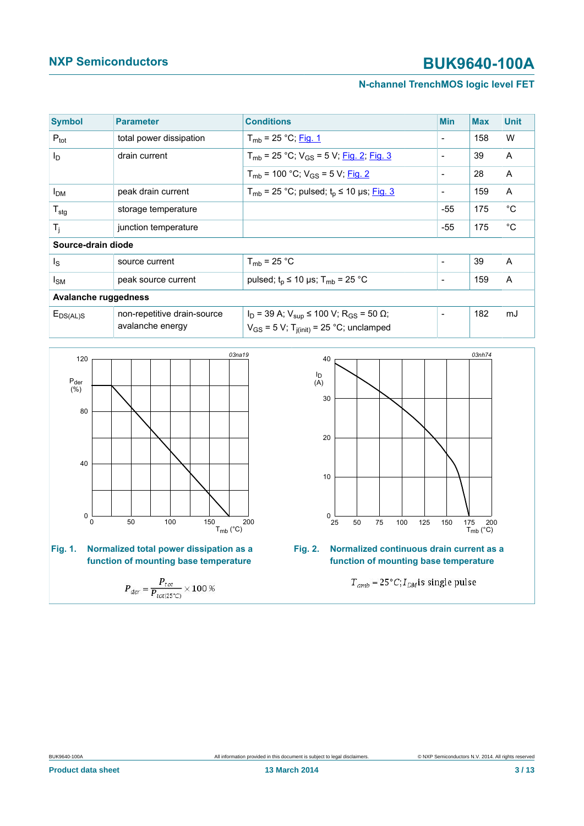### **N-channel TrenchMOS logic level FET**

| <b>Symbol</b>        | <b>Parameter</b>                                | <b>Conditions</b>                                                                                                           | <b>Min</b>               | <b>Max</b> | <b>Unit</b> |
|----------------------|-------------------------------------------------|-----------------------------------------------------------------------------------------------------------------------------|--------------------------|------------|-------------|
| $P_{\text{tot}}$     | total power dissipation                         | $T_{mb}$ = 25 °C; Fig. 1                                                                                                    | $\overline{\phantom{a}}$ | 158        | W           |
| l <sub>D</sub>       | drain current                                   | $T_{mb}$ = 25 °C; V <sub>GS</sub> = 5 V; Fig. 2; Fig. 3                                                                     | $\overline{\phantom{a}}$ | 39         | A           |
|                      |                                                 | $T_{mb}$ = 100 °C; V <sub>GS</sub> = 5 V; Fig. 2                                                                            | $\overline{\phantom{a}}$ | 28         | A           |
| I <sub>DM</sub>      | peak drain current                              | $T_{mb}$ = 25 °C; pulsed; $t_p \le 10$ µs; Fig. 3                                                                           | $\overline{\phantom{a}}$ | 159        | A           |
| $T_{\text{stg}}$     | storage temperature                             |                                                                                                                             | $-55$                    | 175        | $^{\circ}C$ |
| $T_i$                | junction temperature                            |                                                                                                                             | $-55$                    | 175        | $^{\circ}C$ |
| Source-drain diode   |                                                 |                                                                                                                             |                          |            |             |
| ls                   | source current                                  | $T_{mb}$ = 25 °C                                                                                                            | $\overline{\phantom{a}}$ | 39         | A           |
| $I_{\mathsf{SM}}$    | peak source current                             | pulsed; $t_p \le 10 \text{ }\mu\text{s}$ ; T <sub>mb</sub> = 25 °C                                                          | $\overline{\phantom{a}}$ | 159        | A           |
| Avalanche ruggedness |                                                 |                                                                                                                             |                          |            |             |
| $E_{DS(AL)S}$        | non-repetitive drain-source<br>avalanche energy | $I_D$ = 39 A; $V_{sub}$ ≤ 100 V; R <sub>GS</sub> = 50 $\Omega$ ;<br>$V_{GS}$ = 5 V; T <sub>j(init)</sub> = 25 °C; unclamped | $\overline{\phantom{a}}$ | 182        | mJ          |

<span id="page-2-1"></span>

**Fig. 1. Normalized total power dissipation as a function of mounting base temperature**

$$
P_{der} = \frac{P_{tot}}{P_{tot(25^{\circ}C)}} \times 100 \%
$$

<span id="page-2-0"></span>

**Fig. 2. Normalized continuous drain current as a function of mounting base temperature**

 $T_{amb} = 25^{\circ}C; I_{DM}$ is single pulse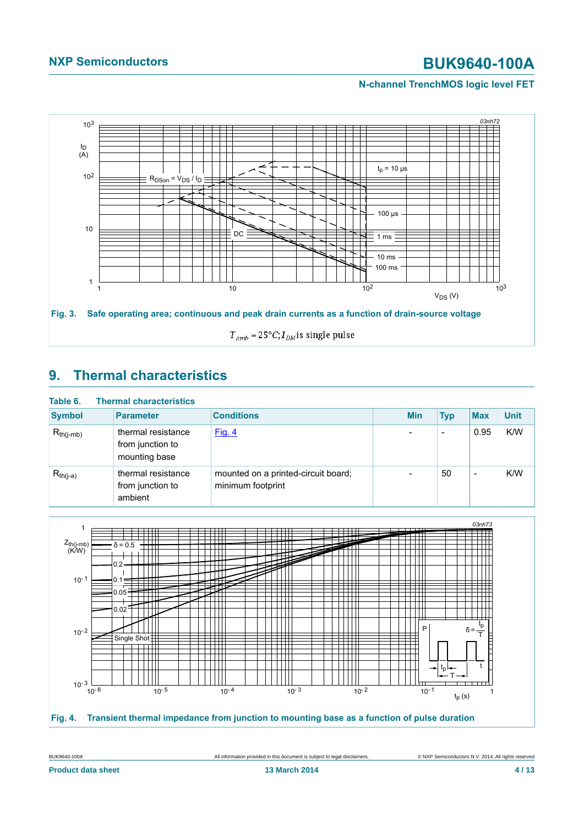### **N-channel TrenchMOS logic level FET**

<span id="page-3-0"></span>

## <span id="page-3-2"></span>**9. Thermal characteristics**

| Table 6.       | <b>Thermal characteristics</b>                          |                                                          |            |                          |                          |             |
|----------------|---------------------------------------------------------|----------------------------------------------------------|------------|--------------------------|--------------------------|-------------|
| <b>Symbol</b>  | <b>Parameter</b>                                        | <b>Conditions</b>                                        | <b>Min</b> | <b>Typ</b>               | <b>Max</b>               | <b>Unit</b> |
| $R_{th(i-mb)}$ | thermal resistance<br>from junction to<br>mounting base | Fig. 4                                                   |            | $\overline{\phantom{0}}$ | 0.95                     | K/W         |
| $R_{th(j-a)}$  | thermal resistance<br>from junction to<br>ambient       | mounted on a printed-circuit board;<br>minimum footprint |            | 50                       | $\overline{\phantom{a}}$ | K/W         |

<span id="page-3-1"></span>

BUK9640-100A All information provided in this document is subject to legal disclaimers. © NXP Semiconductors N.V. 2014. All rights reserved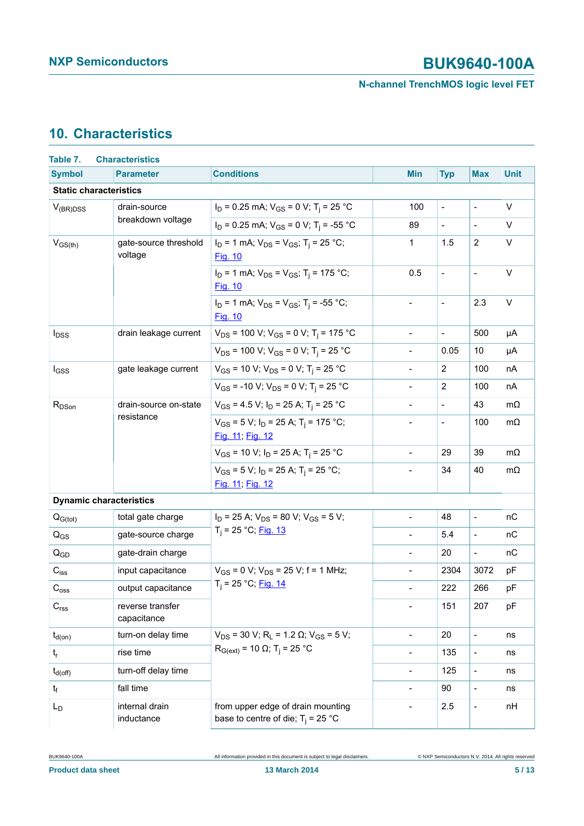### **N-channel TrenchMOS logic level FET**

## <span id="page-4-0"></span>**10. Characteristics**

| Table 7.                       | <b>Characteristics</b>           |                                                                                     |                          |                          |                          |             |
|--------------------------------|----------------------------------|-------------------------------------------------------------------------------------|--------------------------|--------------------------|--------------------------|-------------|
| <b>Symbol</b>                  | <b>Parameter</b>                 | <b>Conditions</b>                                                                   | <b>Min</b>               | <b>Typ</b>               | <b>Max</b>               | <b>Unit</b> |
| <b>Static characteristics</b>  |                                  |                                                                                     |                          |                          |                          |             |
| drain-source<br>$V_{(BR)DSS}$  |                                  | $I_D = 0.25$ mA; $V_{GS} = 0$ V; T <sub>i</sub> = 25 °C                             | 100                      | $\overline{a}$           | $\overline{\phantom{a}}$ | V           |
|                                | breakdown voltage                | $I_D$ = 0.25 mA; $V_{GS}$ = 0 V; T <sub>i</sub> = -55 °C                            | 89                       | $\blacksquare$           |                          | V           |
| $V_{GS(th)}$                   | gate-source threshold<br>voltage | $I_D = 1$ mA; $V_{DS} = V_{GS}$ ; T <sub>i</sub> = 25 °C;<br>Fig. 10                | $\mathbf{1}$             | 1.5                      | $\overline{2}$           | V           |
|                                |                                  | $I_D = 1$ mA; $V_{DS} = V_{GS}$ ; T <sub>i</sub> = 175 °C;<br>Fig. 10               | 0.5                      | $\blacksquare$           | $\blacksquare$           | $\vee$      |
|                                |                                  | $I_D = 1$ mA; $V_{DS} = V_{GS}$ ; T <sub>i</sub> = -55 °C;<br><b>Fig. 10</b>        | $\blacksquare$           | $\blacksquare$           | 2.3                      | V           |
| $I_{DSS}$                      | drain leakage current            | $V_{DS}$ = 100 V; V <sub>GS</sub> = 0 V; T <sub>i</sub> = 175 °C                    | $\frac{1}{2}$            | $\blacksquare$           | 500                      | μA          |
|                                |                                  | $V_{DS}$ = 100 V; V <sub>GS</sub> = 0 V; T <sub>i</sub> = 25 °C                     | $\overline{\phantom{a}}$ | 0.05                     | 10                       | μA          |
| $I_{GSS}$                      | gate leakage current             | $V_{GS}$ = 10 V; $V_{DS}$ = 0 V; T <sub>i</sub> = 25 °C                             | $\blacksquare$           | $\overline{2}$           | 100                      | nA          |
|                                |                                  | $V_{GS}$ = -10 V; $V_{DS}$ = 0 V; T <sub>i</sub> = 25 °C                            | $\overline{\phantom{a}}$ | $\overline{2}$           | 100                      | nA          |
| $R_{DSon}$                     | drain-source on-state            | $V_{GS}$ = 4.5 V; $I_D$ = 25 A; T <sub>i</sub> = 25 °C                              | $\overline{\phantom{a}}$ | $\blacksquare$           | 43                       | $m\Omega$   |
| resistance                     |                                  | $V_{GS}$ = 5 V; I <sub>D</sub> = 25 A; T <sub>i</sub> = 175 °C;<br>Fig. 11; Fig. 12 | $\overline{\phantom{a}}$ | $\overline{\phantom{a}}$ | 100                      | $m\Omega$   |
|                                |                                  | $V_{GS}$ = 10 V; $I_D$ = 25 A; T <sub>i</sub> = 25 °C                               | $\blacksquare$           | 29                       | 39                       | $m\Omega$   |
|                                |                                  | $V_{GS}$ = 5 V; I <sub>D</sub> = 25 A; T <sub>i</sub> = 25 °C;<br>Fig. 11; Fig. 12  | $\blacksquare$           | 34                       | 40                       | $m\Omega$   |
| <b>Dynamic characteristics</b> |                                  |                                                                                     |                          |                          |                          |             |
| $Q_{G(tot)}$                   | total gate charge                | $I_D$ = 25 A; $V_{DS}$ = 80 V; $V_{GS}$ = 5 V;                                      | $\overline{\phantom{a}}$ | 48                       | $\frac{1}{2}$            | nС          |
| $Q_{GS}$                       | gate-source charge               | $T_i = 25 °C;$ Fig. 13                                                              | $\blacksquare$           | 5.4                      | $\overline{\phantom{a}}$ | nC          |
| $Q_{GD}$                       | gate-drain charge                |                                                                                     | $\blacksquare$           | 20                       | $\overline{a}$           | nC          |
| $C_{iss}$                      | input capacitance                | $V_{GS}$ = 0 V; $V_{DS}$ = 25 V; f = 1 MHz;                                         | $\blacksquare$           | 2304                     | 3072                     | pF          |
| $C_{\rm oss}$                  | output capacitance               | $T_i = 25 °C;$ Fig. 14                                                              | $\blacksquare$           | 222                      | 266                      | pF          |
| C <sub>rss</sub>               | reverse transfer<br>capacitance  |                                                                                     | $\blacksquare$           | 151                      | 207                      | pF          |
| $t_{d(on)}$                    | turn-on delay time               | $V_{DS}$ = 30 V; R <sub>L</sub> = 1.2 $\Omega$ ; V <sub>GS</sub> = 5 V;             | $\overline{\phantom{a}}$ | 20                       | $\overline{a}$           | ns          |
| $\mathsf{t}_{\mathsf{r}}$      | rise time                        | $R_{G(ext)} = 10$ Ω; T <sub>i</sub> = 25 °C                                         | $\blacksquare$           | 135                      | $\frac{1}{2}$            | ns          |
| $t_{d(off)}$                   | turn-off delay time              |                                                                                     | $\blacksquare$           | 125                      | $\frac{1}{2}$            | ns          |
| $t_f$                          | fall time                        |                                                                                     | $\blacksquare$           | 90                       | $\overline{a}$           | ns          |
| L <sub>D</sub>                 | internal drain<br>inductance     | from upper edge of drain mounting<br>base to centre of die; $T_i = 25$ °C           | $\overline{a}$           | 2.5                      | $\overline{\phantom{a}}$ | nH          |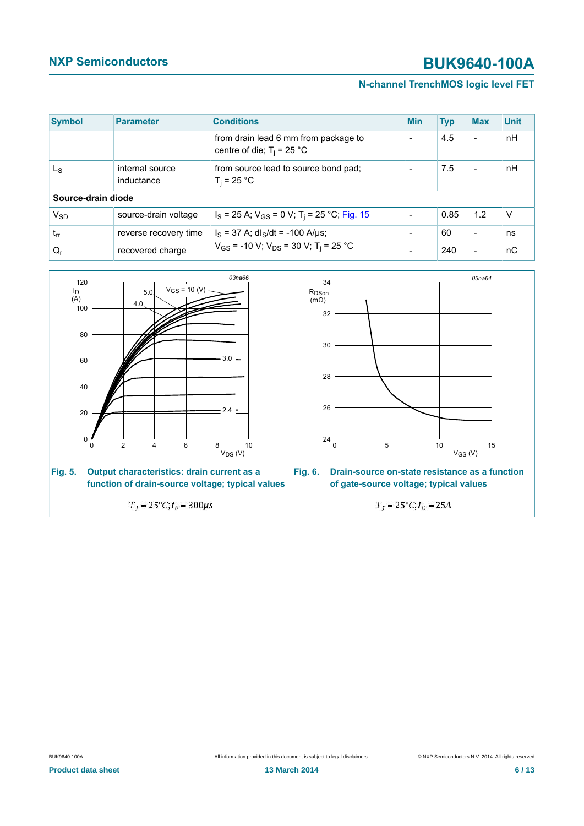### **N-channel TrenchMOS logic level FET**

| <b>Symbol</b>      | <b>Parameter</b>              | <b>Conditions</b>                                                    | <b>Min</b> | <b>Typ</b> | <b>Max</b>               | <b>Unit</b> |
|--------------------|-------------------------------|----------------------------------------------------------------------|------------|------------|--------------------------|-------------|
|                    |                               | from drain lead 6 mm from package to<br>centre of die; $T_i = 25$ °C |            | 4.5        | $\overline{\phantom{a}}$ | nH          |
| L <sub>S</sub>     | internal source<br>inductance | from source lead to source bond pad;<br>$T_i = 25 °C$                |            | 7.5        | $\overline{\phantom{a}}$ | nH          |
| Source-drain diode |                               |                                                                      |            |            |                          |             |
| $V_{SD}$           | source-drain voltage          | $I_S$ = 25 A; $V_{GS}$ = 0 V; T <sub>i</sub> = 25 °C; Fig. 15        |            | 0.85       | 1.2                      | ν           |
| $t_{rr}$           | reverse recovery time         | $I_S$ = 37 A; dl <sub>S</sub> /dt = -100 A/µs;                       |            | 60         | $\overline{\phantom{a}}$ | ns          |
| $Q_{r}$            | recovered charge              | $V_{GS}$ = -10 V; V <sub>DS</sub> = 30 V; T <sub>i</sub> = 25 °C     |            | 240        | $\overline{\phantom{a}}$ | пC          |







 $T_j = 25^{\circ}C; t_p = 300 \mu s$ 



$$
T_j = 25^{\circ}C; I_D = 25A
$$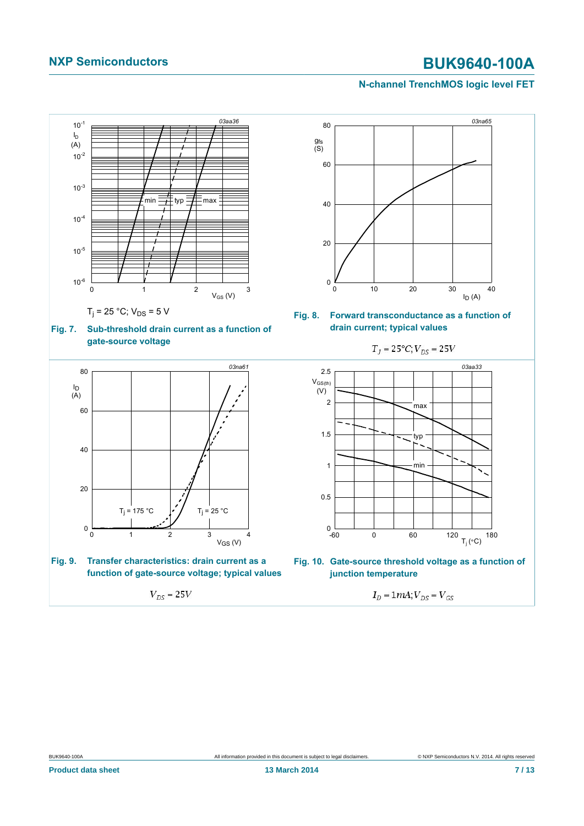### <span id="page-6-0"></span>**N-channel TrenchMOS logic level FET**

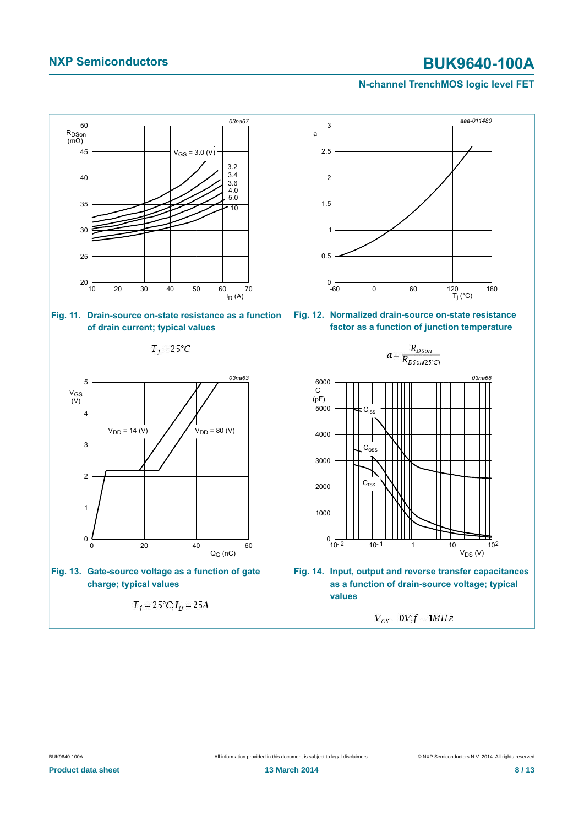### <span id="page-7-3"></span><span id="page-7-1"></span>**N-channel TrenchMOS logic level FET**

<span id="page-7-2"></span><span id="page-7-0"></span>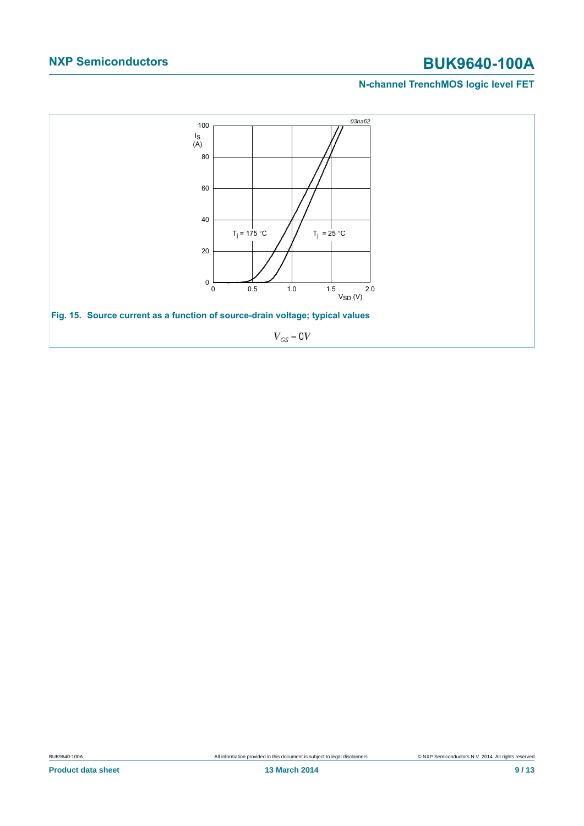### **N-channel TrenchMOS logic level FET**

<span id="page-8-0"></span>![](_page_8_Figure_3.jpeg)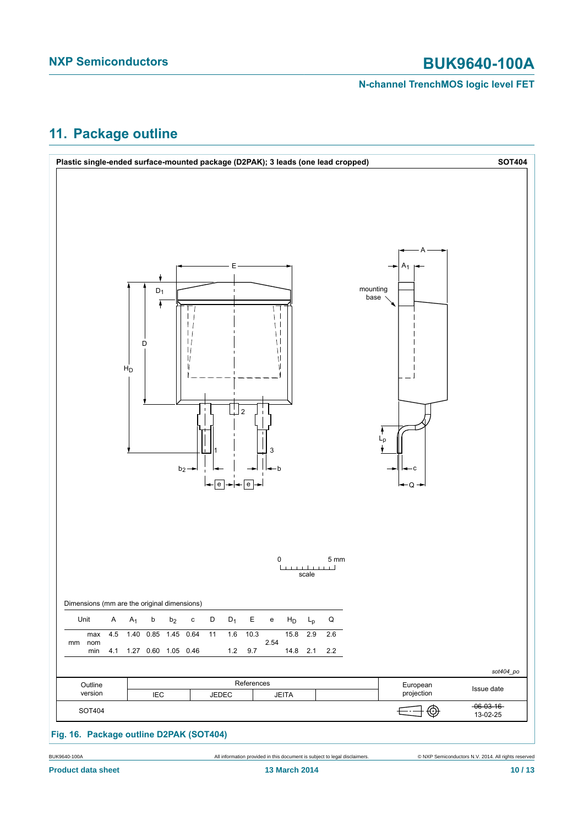### **N-channel TrenchMOS logic level FET**

## <span id="page-9-0"></span>**11. Package outline**

![](_page_9_Figure_4.jpeg)

BUK9640-100A All information provided in this document is subject to legal disclaimers. © NXP Semiconductors N.V. 2014. All rights reserved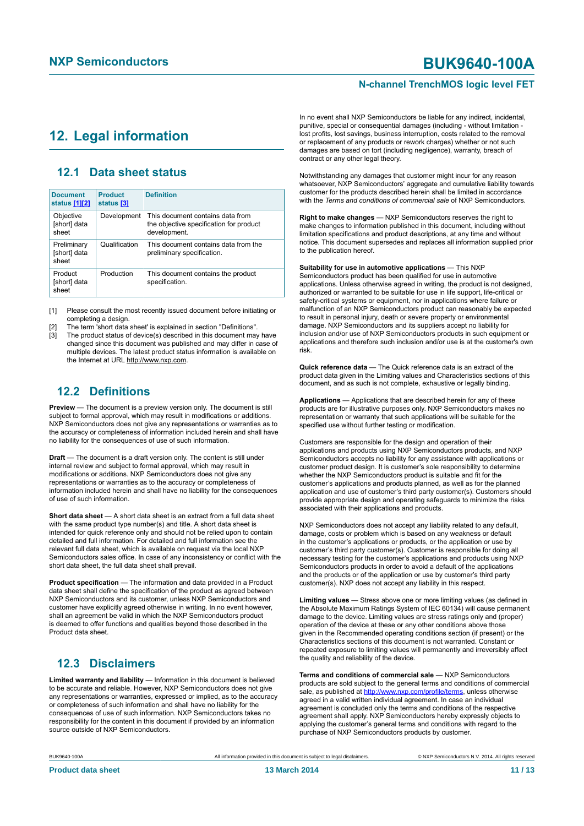### **N-channel TrenchMOS logic level FET**

### <span id="page-10-1"></span><span id="page-10-0"></span>**12. Legal information**

### <span id="page-10-2"></span>**12.1 Data sheet status**

| <b>Document</b><br>status [1][2]     | <b>Product</b><br>status [3] | <b>Definition</b>                                                                           |
|--------------------------------------|------------------------------|---------------------------------------------------------------------------------------------|
| Objective<br>[short] data<br>sheet   | Development                  | This document contains data from<br>the objective specification for product<br>development. |
| Preliminary<br>[short] data<br>sheet | Qualification                | This document contains data from the<br>preliminary specification.                          |
| Product<br>[short] data<br>sheet     | Production                   | This document contains the product<br>specification.                                        |

[1] Please consult the most recently issued document before initiating or completing a design.

[2] The term 'short data sheet' is explained in section "Definitions".

The product status of device(s) described in this document may have changed since this document was published and may differ in case of multiple devices. The latest product status information is available on the Internet at URL http://www.nxp.com.

### <span id="page-10-3"></span>**12.2 Definitions**

**Preview** — The document is a preview version only. The document is still subject to formal approval, which may result in modifications or additions. NXP Semiconductors does not give any representations or warranties as to the accuracy or completeness of information included herein and shall have no liability for the consequences of use of such information.

**Draft** — The document is a draft version only. The content is still under internal review and subject to formal approval, which may result in modifications or additions. NXP Semiconductors does not give any representations or warranties as to the accuracy or completeness of information included herein and shall have no liability for the consequences of use of such information.

**Short data sheet** — A short data sheet is an extract from a full data sheet with the same product type number(s) and title. A short data sheet is intended for quick reference only and should not be relied upon to contain detailed and full information. For detailed and full information see the relevant full data sheet, which is available on request via the local NXP Semiconductors sales office. In case of any inconsistency or conflict with the short data sheet, the full data sheet shall prevail.

**Product specification** — The information and data provided in a Product data sheet shall define the specification of the product as agreed between NXP Semiconductors and its customer, unless NXP Semiconductors and customer have explicitly agreed otherwise in writing. In no event however, shall an agreement be valid in which the NXP Semiconductors product is deemed to offer functions and qualities beyond those described in the Product data sheet.

### <span id="page-10-4"></span>**12.3 Disclaimers**

**Limited warranty and liability** — Information in this document is believed to be accurate and reliable. However, NXP Semiconductors does not give any representations or warranties, expressed or implied, as to the accuracy or completeness of such information and shall have no liability for the consequences of use of such information. NXP Semiconductors takes no responsibility for the content in this document if provided by an information source outside of NXP Semiconductors.

In no event shall NXP Semiconductors be liable for any indirect, incidental, punitive, special or consequential damages (including - without limitation lost profits, lost savings, business interruption, costs related to the removal or replacement of any products or rework charges) whether or not such damages are based on tort (including negligence), warranty, breach of contract or any other legal theory.

Notwithstanding any damages that customer might incur for any reason whatsoever, NXP Semiconductors' aggregate and cumulative liability towards customer for the products described herein shall be limited in accordance with the *Terms and conditions of commercial sale* of NXP Semiconductors.

**Right to make changes** — NXP Semiconductors reserves the right to make changes to information published in this document, including without limitation specifications and product descriptions, at any time and without notice. This document supersedes and replaces all information supplied prior to the publication hereof.

**Suitability for use in automotive applications** — This NXP Semiconductors product has been qualified for use in automotive applications. Unless otherwise agreed in writing, the product is not designed, authorized or warranted to be suitable for use in life support, life-critical or safety-critical systems or equipment, nor in applications where failure or malfunction of an NXP Semiconductors product can reasonably be expected to result in personal injury, death or severe property or environmental damage. NXP Semiconductors and its suppliers accept no liability for inclusion and/or use of NXP Semiconductors products in such equipment or applications and therefore such inclusion and/or use is at the customer's own risk.

**Quick reference data** — The Quick reference data is an extract of the product data given in the Limiting values and Characteristics sections of this document, and as such is not complete, exhaustive or legally binding.

**Applications** — Applications that are described herein for any of these products are for illustrative purposes only. NXP Semiconductors makes no representation or warranty that such applications will be suitable for the specified use without further testing or modification.

Customers are responsible for the design and operation of their applications and products using NXP Semiconductors products, and NXP Semiconductors accepts no liability for any assistance with applications or customer product design. It is customer's sole responsibility to determine whether the NXP Semiconductors product is suitable and fit for the customer's applications and products planned, as well as for the planned application and use of customer's third party customer(s). Customers should provide appropriate design and operating safeguards to minimize the risks associated with their applications and products.

NXP Semiconductors does not accept any liability related to any default, damage, costs or problem which is based on any weakness or default in the customer's applications or products, or the application or use by customer's third party customer(s). Customer is responsible for doing all necessary testing for the customer's applications and products using NXP Semiconductors products in order to avoid a default of the applications and the products or of the application or use by customer's third party customer(s). NXP does not accept any liability in this respect.

**Limiting values** — Stress above one or more limiting values (as defined in the Absolute Maximum Ratings System of IEC 60134) will cause permanent damage to the device. Limiting values are stress ratings only and (proper) operation of the device at these or any other conditions above those given in the Recommended operating conditions section (if present) or the Characteristics sections of this document is not warranted. Constant or repeated exposure to limiting values will permanently and irreversibly affect the quality and reliability of the device.

**Terms and conditions of commercial sale** — NXP Semiconductors products are sold subject to the general terms and conditions of commercial sale, as published at<http://www.nxp.com/profile/terms>, unless otherwise agreed in a valid written individual agreement. In case an individual agreement is concluded only the terms and conditions of the respective agreement shall apply. NXP Semiconductors hereby expressly objects to applying the customer's general terms and conditions with regard to the purchase of NXP Semiconductors products by customer.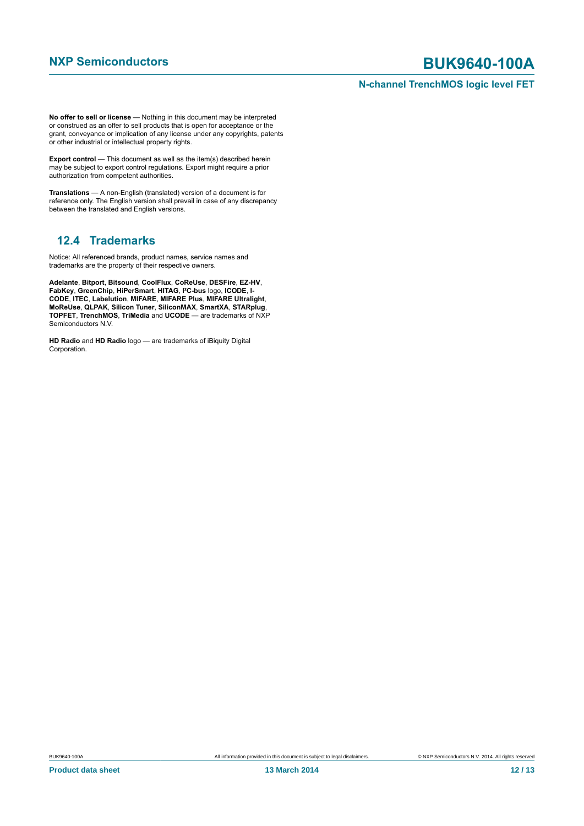### **N-channel TrenchMOS logic level FET**

**No offer to sell or license** — Nothing in this document may be interpreted or construed as an offer to sell products that is open for acceptance or the grant, conveyance or implication of any license under any copyrights, patents or other industrial or intellectual property rights.

**Export control** — This document as well as the item(s) described herein may be subject to export control regulations. Export might require a prior authorization from competent authorities.

**Translations** — A non-English (translated) version of a document is for reference only. The English version shall prevail in case of any discrepancy between the translated and English versions.

## <span id="page-11-0"></span>**12.4 Trademarks**

Notice: All referenced brands, product names, service names and trademarks are the property of their respective owners.

**Adelante**, **Bitport**, **Bitsound**, **CoolFlux**, **CoReUse**, **DESFire**, **EZ-HV**, **FabKey**, **GreenChip**, **HiPerSmart**, **HITAG**, **I²C-bus** logo, **ICODE**, **I-CODE**, **ITEC**, **Labelution**, **MIFARE**, **MIFARE Plus**, **MIFARE Ultralight**, **MoReUse**, **QLPAK**, **Silicon Tuner**, **SiliconMAX**, **SmartXA**, **STARplug**, **TOPFET**, **TrenchMOS**, **TriMedia** and **UCODE** — are trademarks of NXP Semiconductors N.V.

**HD Radio** and **HD Radio** logo — are trademarks of iBiquity Digital Corporation.